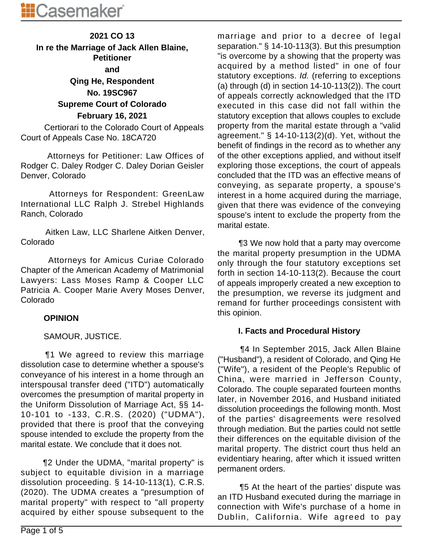# **2021 CO 13 In re the Marriage of Jack Allen Blaine, Petitioner and Qing He, Respondent No. 19SC967 Supreme Court of Colorado February 16, 2021**

 Certiorari to the Colorado Court of Appeals Court of Appeals Case No. 18CA720

 Attorneys for Petitioner: Law Offices of Rodger C. Daley Rodger C. Daley Dorian Geisler Denver, Colorado

 Attorneys for Respondent: GreenLaw International LLC Ralph J. Strebel Highlands Ranch, Colorado

 Aitken Law, LLC Sharlene Aitken Denver, Colorado

 Attorneys for Amicus Curiae Colorado Chapter of the American Academy of Matrimonial Lawyers: Lass Moses Ramp & Cooper LLC Patricia A. Cooper Marie Avery Moses Denver, Colorado

#### **OPINION**

## SAMOUR, JUSTICE.

 ¶1 We agreed to review this marriage dissolution case to determine whether a spouse's conveyance of his interest in a home through an interspousal transfer deed ("ITD") automatically overcomes the presumption of marital property in the Uniform Dissolution of Marriage Act, §§ 14- 10-101 to -133, C.R.S. (2020) ("UDMA"), provided that there is proof that the conveying spouse intended to exclude the property from the marital estate. We conclude that it does not.

 ¶2 Under the UDMA, "marital property" is subject to equitable division in a marriage dissolution proceeding. § 14-10-113(1), C.R.S. (2020). The UDMA creates a "presumption of marital property" with respect to "all property acquired by either spouse subsequent to the marriage and prior to a decree of legal separation." § 14-10-113(3). But this presumption "is overcome by a showing that the property was acquired by a method listed" in one of four statutory exceptions. Id. (referring to exceptions (a) through (d) in section  $14-10-113(2)$ ). The court of appeals correctly acknowledged that the ITD executed in this case did not fall within the statutory exception that allows couples to exclude property from the marital estate through a "valid agreement." § 14-10-113(2)(d). Yet, without the benefit of findings in the record as to whether any of the other exceptions applied, and without itself exploring those exceptions, the court of appeals concluded that the ITD was an effective means of conveying, as separate property, a spouse's interest in a home acquired during the marriage, given that there was evidence of the conveying spouse's intent to exclude the property from the marital estate.

 ¶3 We now hold that a party may overcome the marital property presumption in the UDMA only through the four statutory exceptions set forth in section 14-10-113(2). Because the court of appeals improperly created a new exception to the presumption, we reverse its judgment and remand for further proceedings consistent with this opinion.

## **I. Facts and Procedural History**

 ¶4 In September 2015, Jack Allen Blaine ("Husband"), a resident of Colorado, and Qing He ("Wife"), a resident of the People's Republic of China, were married in Jefferson County, Colorado. The couple separated fourteen months later, in November 2016, and Husband initiated dissolution proceedings the following month. Most of the parties' disagreements were resolved through mediation. But the parties could not settle their differences on the equitable division of the marital property. The district court thus held an evidentiary hearing, after which it issued written permanent orders.

 ¶5 At the heart of the parties' dispute was an ITD Husband executed during the marriage in connection with Wife's purchase of a home in Dublin, California. Wife agreed to pay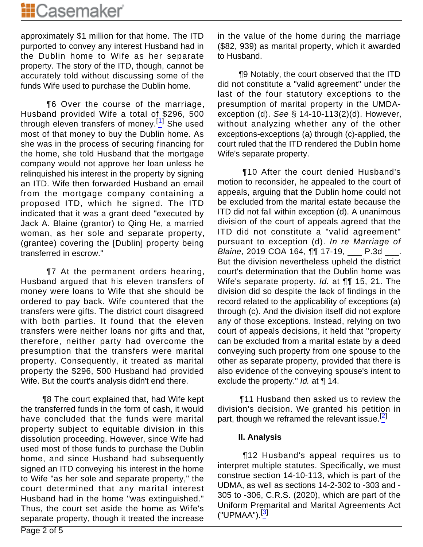approximately \$1 million for that home. The ITD purported to convey any interest Husband had in the Dublin home to Wife as her separate property. The story of the ITD, though, cannot be accurately told without discussing some of the funds Wife used to purchase the Dublin home.

 ¶6 Over the course of the marriage, Husband provided Wife a total of \$296, 500 through eleven transfers of money.<sup>[1]</sup> She used most of that money to buy the Dublin home. As she was in the process of securing financing for the home, she told Husband that the mortgage company would not approve her loan unless he relinquished his interest in the property by signing an ITD. Wife then forwarded Husband an email from the mortgage company containing a proposed ITD, which he signed. The ITD indicated that it was a grant deed "executed by Jack A. Blaine (grantor) to Qing He, a married woman, as her sole and separate property, (grantee) covering the [Dublin] property being transferred in escrow."

 ¶7 At the permanent orders hearing, Husband argued that his eleven transfers of money were loans to Wife that she should be ordered to pay back. Wife countered that the transfers were gifts. The district court disagreed with both parties. It found that the eleven transfers were neither loans nor gifts and that, therefore, neither party had overcome the presumption that the transfers were marital property. Consequently, it treated as marital property the \$296, 500 Husband had provided Wife. But the court's analysis didn't end there.

 ¶8 The court explained that, had Wife kept the transferred funds in the form of cash, it would have concluded that the funds were marital property subject to equitable division in this dissolution proceeding. However, since Wife had used most of those funds to purchase the Dublin home, and since Husband had subsequently signed an ITD conveying his interest in the home to Wife "as her sole and separate property," the court determined that any marital interest Husband had in the home "was extinguished." Thus, the court set aside the home as Wife's separate property, though it treated the increase in the value of the home during the marriage (\$82, 939) as marital property, which it awarded to Husband.

 ¶9 Notably, the court observed that the ITD did not constitute a "valid agreement" under the last of the four statutory exceptions to the presumption of marital property in the UMDAexception (d). See § 14-10-113(2)(d). However, without analyzing whether any of the other exceptions-exceptions (a) through (c)-applied, the court ruled that the ITD rendered the Dublin home Wife's separate property.

 ¶10 After the court denied Husband's motion to reconsider, he appealed to the court of appeals, arguing that the Dublin home could not be excluded from the marital estate because the ITD did not fall within exception (d). A unanimous division of the court of appeals agreed that the ITD did not constitute a "valid agreement" pursuant to exception (d). In re Marriage of Blaine, 2019 COA 164,  $\P\P$  17-19, \_\_\_ P.3d \_\_\_. But the division nevertheless upheld the district court's determination that the Dublin home was Wife's separate property. *Id.* at **[1]** 15, 21. The division did so despite the lack of findings in the record related to the applicability of exceptions (a) through (c). And the division itself did not explore any of those exceptions. Instead, relying on two court of appeals decisions, it held that "property can be excluded from a marital estate by a deed conveying such property from one spouse to the other as separate property, provided that there is also evidence of the conveying spouse's intent to exclude the property." *Id.* at ¶ 14.

 ¶11 Husband then asked us to review the division's decision. We granted his petition in part, though we reframed the relevant issue.<sup>[2]</sup>

#### **II. Analysis**

 ¶12 Husband's appeal requires us to interpret multiple statutes. Specifically, we must construe section 14-10-113, which is part of the UDMA, as well as sections 14-2-302 to -303 and - 305 to -306, C.R.S. (2020), which are part of the Uniform Premarital and Marital Agreements Act ("UPMAA").[3]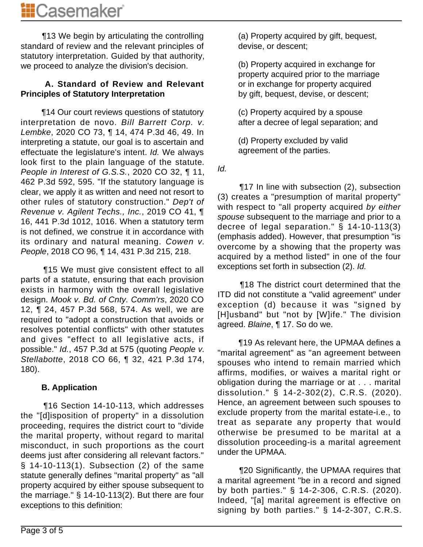¶13 We begin by articulating the controlling standard of review and the relevant principles of statutory interpretation. Guided by that authority, we proceed to analyze the division's decision.

#### **A. Standard of Review and Relevant Principles of Statutory Interpretation**

 ¶14 Our court reviews questions of statutory interpretation de novo. Bill Barrett Corp. v. Lembke, 2020 CO 73, ¶ 14, 474 P.3d 46, 49. In interpreting a statute, our goal is to ascertain and effectuate the legislature's intent. Id. We always look first to the plain language of the statute. People in Interest of G.S.S., 2020 CO 32, ¶ 11, 462 P.3d 592, 595. "If the statutory language is clear, we apply it as written and need not resort to other rules of statutory construction." Dep't of Revenue v. Agilent Techs., Inc., 2019 CO 41, ¶ 16, 441 P.3d 1012, 1016. When a statutory term is not defined, we construe it in accordance with its ordinary and natural meaning. Cowen v. People, 2018 CO 96, ¶ 14, 431 P.3d 215, 218.

 ¶15 We must give consistent effect to all parts of a statute, ensuring that each provision exists in harmony with the overall legislative design. Mook v. Bd. of Cnty. Comm'rs, 2020 CO 12, ¶ 24, 457 P.3d 568, 574. As well, we are required to "adopt a construction that avoids or resolves potential conflicts" with other statutes and gives "effect to all legislative acts, if possible." Id., 457 P.3d at 575 (quoting People v. Stellabotte, 2018 CO 66, ¶ 32, 421 P.3d 174, 180).

## **B. Application**

 ¶16 Section 14-10-113, which addresses the "[d]isposition of property" in a dissolution proceeding, requires the district court to "divide the marital property, without regard to marital misconduct, in such proportions as the court deems just after considering all relevant factors." § 14-10-113(1). Subsection (2) of the same statute generally defines "marital property" as "all property acquired by either spouse subsequent to the marriage." § 14-10-113(2). But there are four exceptions to this definition:

(a) Property acquired by gift, bequest, devise, or descent;

(b) Property acquired in exchange for property acquired prior to the marriage or in exchange for property acquired by gift, bequest, devise, or descent;

(c) Property acquired by a spouse after a decree of legal separation; and

(d) Property excluded by valid agreement of the parties.

Id.

 ¶17 In line with subsection (2), subsection (3) creates a "presumption of marital property" with respect to "all property acquired by either spouse subsequent to the marriage and prior to a decree of legal separation." § 14-10-113(3) (emphasis added). However, that presumption "is overcome by a showing that the property was acquired by a method listed" in one of the four exceptions set forth in subsection (2). Id.

 ¶18 The district court determined that the ITD did not constitute a "valid agreement" under exception (d) because it was "signed by [H]usband" but "not by [W]ife." The division agreed. Blaine, ¶ 17. So do we.

 ¶19 As relevant here, the UPMAA defines a "marital agreement" as "an agreement between spouses who intend to remain married which affirms, modifies, or waives a marital right or obligation during the marriage or at . . . marital dissolution." § 14-2-302(2), C.R.S. (2020). Hence, an agreement between such spouses to exclude property from the marital estate-i.e., to treat as separate any property that would otherwise be presumed to be marital at a dissolution proceeding-is a marital agreement under the UPMAA.

 ¶20 Significantly, the UPMAA requires that a marital agreement "be in a record and signed by both parties." § 14-2-306, C.R.S. (2020). Indeed, "[a] marital agreement is effective on signing by both parties." § 14-2-307, C.R.S.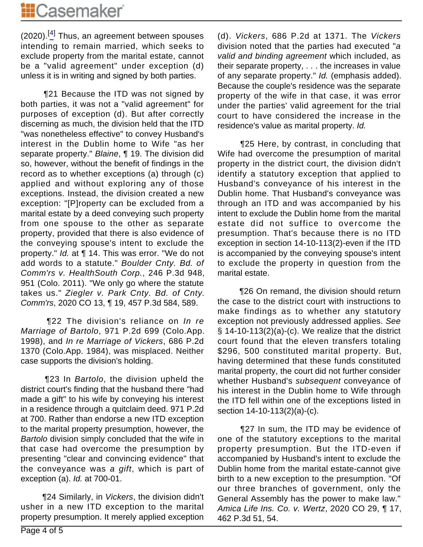$(2020).$ <sup>[4]</sup> Thus, an agreement between spouses intending to remain married, which seeks to exclude property from the marital estate, cannot be a "valid agreement" under exception (d) unless it is in writing and signed by both parties.

 ¶21 Because the ITD was not signed by both parties, it was not a "valid agreement" for purposes of exception (d). But after correctly discerning as much, the division held that the ITD "was nonetheless effective" to convey Husband's interest in the Dublin home to Wife "as her separate property." Blaine, ¶ 19. The division did so, however, without the benefit of findings in the record as to whether exceptions (a) through (c) applied and without exploring any of those exceptions. Instead, the division created a new exception: "[P]roperty can be excluded from a marital estate by a deed conveying such property from one spouse to the other as separate property, provided that there is also evidence of the conveying spouse's intent to exclude the property." Id. at ¶ 14. This was error. "We do not add words to a statute." Boulder Cnty. Bd. of Comm'rs v. HealthSouth Corp., 246 P.3d 948, 951 (Colo. 2011). "We only go where the statute takes us." Ziegler v. Park Cnty. Bd. of Cnty. Comm'rs, 2020 CO 13, ¶ 19, 457 P.3d 584, 589.

**The division's reliance on In re** Marriage of Bartolo, 971 P.2d 699 (Colo.App. 1998), and In re Marriage of Vickers, 686 P.2d 1370 (Colo.App. 1984), was misplaced. Neither case supports the division's holding.

**The 3 In Bartolo, the division upheld the** district court's finding that the husband there "had made a gift" to his wife by conveying his interest in a residence through a quitclaim deed. 971 P.2d at 700. Rather than endorse a new ITD exception to the marital property presumption, however, the Bartolo division simply concluded that the wife in that case had overcome the presumption by presenting "clear and convincing evidence" that the conveyance was a gift, which is part of exception (a). Id. at 700-01.

 ¶24 Similarly, in Vickers, the division didn't usher in a new ITD exception to the marital property presumption. It merely applied exception (d). Vickers, 686 P.2d at 1371. The Vickers division noted that the parties had executed "a valid and binding agreement which included, as their separate property, . . . the increases in value of any separate property." Id. (emphasis added). Because the couple's residence was the separate property of the wife in that case, it was error under the parties' valid agreement for the trial court to have considered the increase in the residence's value as marital property. Id.

 ¶25 Here, by contrast, in concluding that Wife had overcome the presumption of marital property in the district court, the division didn't identify a statutory exception that applied to Husband's conveyance of his interest in the Dublin home. That Husband's conveyance was through an ITD and was accompanied by his intent to exclude the Dublin home from the marital estate did not suffice to overcome the presumption. That's because there is no ITD exception in section 14-10-113(2)-even if the ITD is accompanied by the conveying spouse's intent to exclude the property in question from the marital estate.

 ¶26 On remand, the division should return the case to the district court with instructions to make findings as to whether any statutory exception not previously addressed applies. See § 14-10-113(2)(a)-(c). We realize that the district court found that the eleven transfers totaling \$296, 500 constituted marital property. But, having determined that these funds constituted marital property, the court did not further consider whether Husband's subsequent conveyance of his interest in the Dublin home to Wife through the ITD fell within one of the exceptions listed in section 14-10-113(2)(a)-(c).

 ¶27 In sum, the ITD may be evidence of one of the statutory exceptions to the marital property presumption. But the ITD-even if accompanied by Husband's intent to exclude the Dublin home from the marital estate-cannot give birth to a new exception to the presumption. "Of our three branches of government, only the General Assembly has the power to make law." Amica Life Ins. Co. v. Wertz, 2020 CO 29, ¶ 17, 462 P.3d 51, 54.